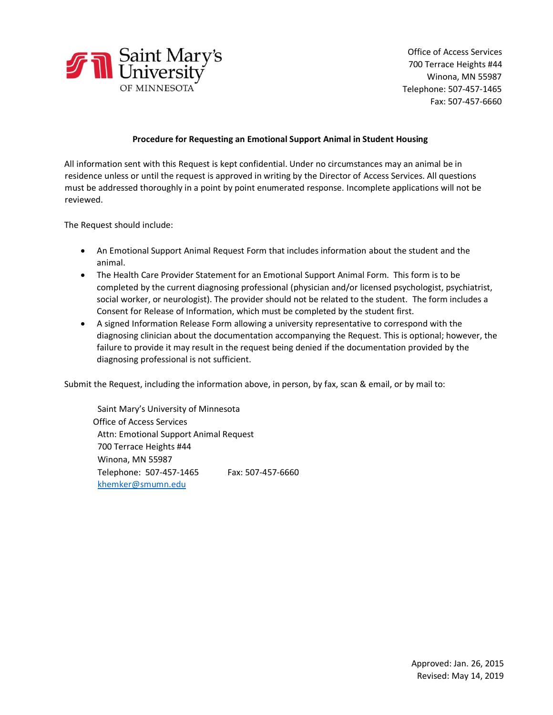

Office of Access Services 700 Terrace Heights #44 Winona, MN 55987 Telephone: 507-457-1465 Fax: 507-457-6660

## **Procedure for Requesting an Emotional Support Animal in Student Housing**

All information sent with this Request is kept confidential. Under no circumstances may an animal be in residence unless or until the request is approved in writing by the Director of Access Services. All questions must be addressed thoroughly in a point by point enumerated response. Incomplete applications will not be reviewed.

The Request should include:

- An Emotional Support Animal Request Form that includes information about the student and the animal.
- The Health Care Provider Statement for an Emotional Support Animal Form. This form is to be completed by the current diagnosing professional (physician and/or licensed psychologist, psychiatrist, social worker, or neurologist). The provider should not be related to the student. The form includes a Consent for Release of Information, which must be completed by the student first.
- A signed Information Release Form allowing a university representative to correspond with the diagnosing clinician about the documentation accompanying the Request. This is optional; however, the failure to provide it may result in the request being denied if the documentation provided by the diagnosing professional is not sufficient.

Submit the Request, including the information above, in person, by fax, scan & email, or by mail to:

Saint Mary's University of Minnesota Office of Access Services Attn: Emotional Support Animal Request 700 Terrace Heights #44 Winona, MN 55987 Telephone: 507-457-1465 Fax: 507-457-6660 khemker@smumn.edu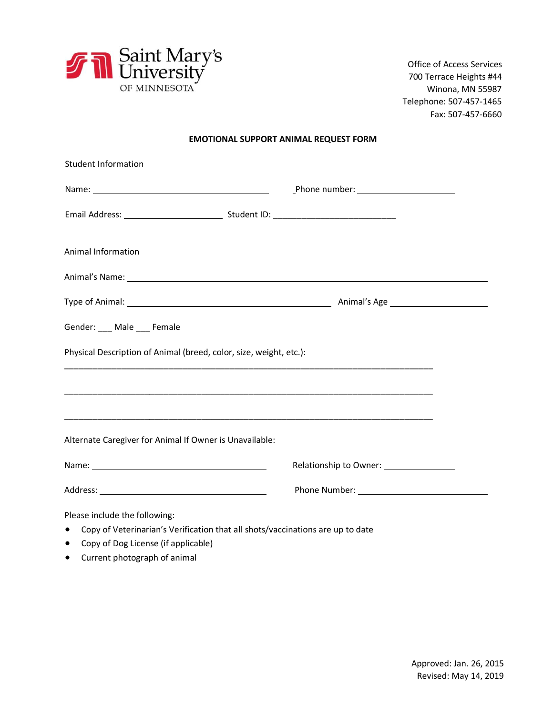

Office of Access Services 700 Terrace Heights #44 Winona, MN 55987 Telephone: 507-457-1465 Fax: 507-457-6660

## **EMOTIONAL SUPPORT ANIMAL REQUEST FORM**

| <b>Student Information</b>                                                                                                                                                                                                    |                                                                                                                                                                                                                                |
|-------------------------------------------------------------------------------------------------------------------------------------------------------------------------------------------------------------------------------|--------------------------------------------------------------------------------------------------------------------------------------------------------------------------------------------------------------------------------|
|                                                                                                                                                                                                                               | $\underline{\text{Phone number:}\_\_\_\_}\text{?}}$                                                                                                                                                                            |
|                                                                                                                                                                                                                               |                                                                                                                                                                                                                                |
| Animal Information                                                                                                                                                                                                            |                                                                                                                                                                                                                                |
|                                                                                                                                                                                                                               | Animal's Name: 1999. The Commission of the Commission of the Commission of the Commission of the Commission of the Commission of the Commission of the Commission of the Commission of the Commission of the Commission of the |
|                                                                                                                                                                                                                               |                                                                                                                                                                                                                                |
| Gender: ___ Male ___ Female                                                                                                                                                                                                   |                                                                                                                                                                                                                                |
| Physical Description of Animal (breed, color, size, weight, etc.):                                                                                                                                                            |                                                                                                                                                                                                                                |
|                                                                                                                                                                                                                               |                                                                                                                                                                                                                                |
|                                                                                                                                                                                                                               |                                                                                                                                                                                                                                |
| Alternate Caregiver for Animal If Owner is Unavailable:                                                                                                                                                                       |                                                                                                                                                                                                                                |
| Name: Name and the service of the service of the service of the service of the service of the service of the service of the service of the service of the service of the service of the service of the service of the service | Relationship to Owner: 1997                                                                                                                                                                                                    |
|                                                                                                                                                                                                                               |                                                                                                                                                                                                                                |
| Please include the following:<br>• Copy of Veterinarian's Verification that all shots/vaccinations are up to date                                                                                                             |                                                                                                                                                                                                                                |

- Copy of Dog License (if applicable)
- Current photograph of animal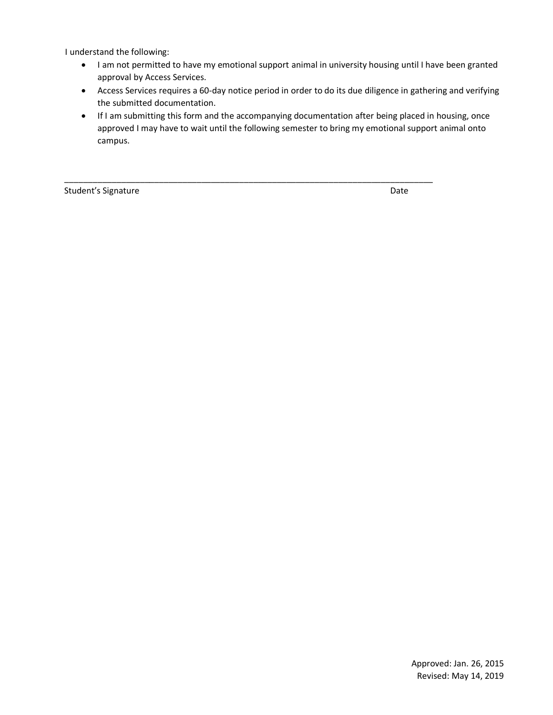I understand the following:

- I am not permitted to have my emotional support animal in university housing until I have been granted approval by Access Services.
- Access Services requires a 60-day notice period in order to do its due diligence in gathering and verifying the submitted documentation.
- If I am submitting this form and the accompanying documentation after being placed in housing, once approved I may have to wait until the following semester to bring my emotional support animal onto campus.

\_\_\_\_\_\_\_\_\_\_\_\_\_\_\_\_\_\_\_\_\_\_\_\_\_\_\_\_\_\_\_\_\_\_\_\_\_\_\_\_\_\_\_\_\_\_\_\_\_\_\_\_\_\_\_\_\_\_\_\_\_\_\_\_\_\_\_\_\_\_\_\_\_\_\_\_\_\_

Student's Signature Date Date of the United Students of Date Date Date Date of the United Students of Date Date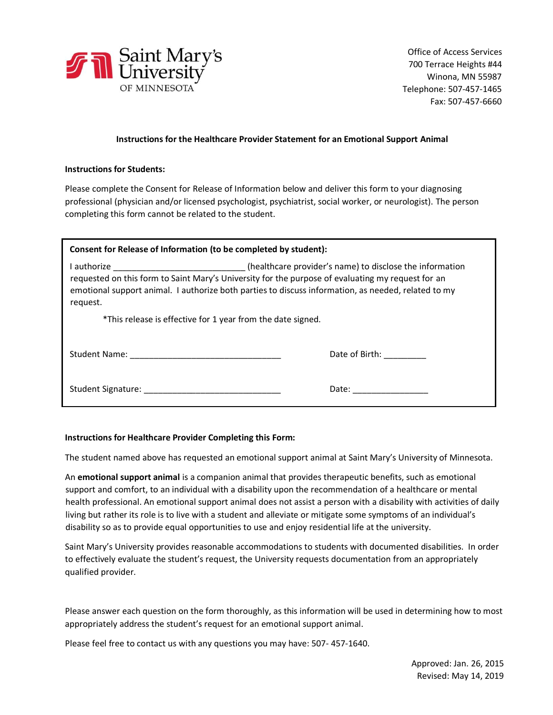

# **Instructions for the Healthcare Provider Statement for an Emotional Support Animal**

## **Instructions for Students:**

Please complete the Consent for Release of Information below and deliver this form to your diagnosing professional (physician and/or licensed psychologist, psychiatrist, social worker, or neurologist). The person completing this form cannot be related to the student.

| Consent for Release of Information (to be completed by student):                                                                                                                                                                                                                                                             |                     |  |  |
|------------------------------------------------------------------------------------------------------------------------------------------------------------------------------------------------------------------------------------------------------------------------------------------------------------------------------|---------------------|--|--|
| I authorize ________________________________(healthcare provider's name) to disclose the information<br>requested on this form to Saint Mary's University for the purpose of evaluating my request for an<br>emotional support animal. I authorize both parties to discuss information, as needed, related to my<br>request. |                     |  |  |
| *This release is effective for 1 year from the date signed.                                                                                                                                                                                                                                                                  |                     |  |  |
|                                                                                                                                                                                                                                                                                                                              | Date of Birth:      |  |  |
| Student Signature: The Contract of the Contract of the Contract of the Contract of the Contract of the Contract of the Contract of the Contract of the Contract of the Contract of the Contract of the Contract of the Contrac                                                                                               | Date: _____________ |  |  |

## **Instructions for Healthcare Provider Completing this Form:**

The student named above has requested an emotional support animal at Saint Mary's University of Minnesota.

An **emotional support animal** is a companion animal that provides therapeutic benefits, such as emotional support and comfort, to an individual with a disability upon the recommendation of a healthcare or mental health professional. An emotional support animal does not assist a person with a disability with activities of daily living but rather its role is to live with a student and alleviate or mitigate some symptoms of an individual's disability so as to provide equal opportunities to use and enjoy residential life at the university.

Saint Mary's University provides reasonable accommodations to students with documented disabilities. In order to effectively evaluate the student's request, the University requests documentation from an appropriately qualified provider.

Please answer each question on the form thoroughly, as this information will be used in determining how to most appropriately address the student's request for an emotional support animal.

Please feel free to contact us with any questions you may have: 507- 457-1640.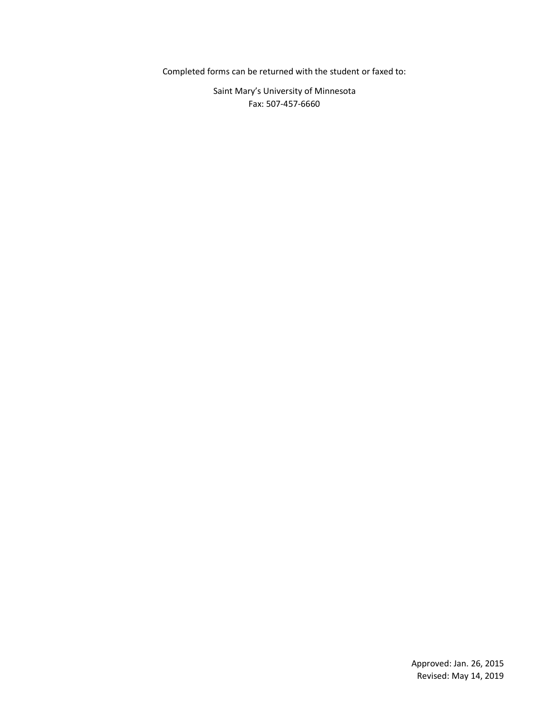Completed forms can be returned with the student or faxed to:

Saint Mary's University of Minnesota Fax: 507-457-6660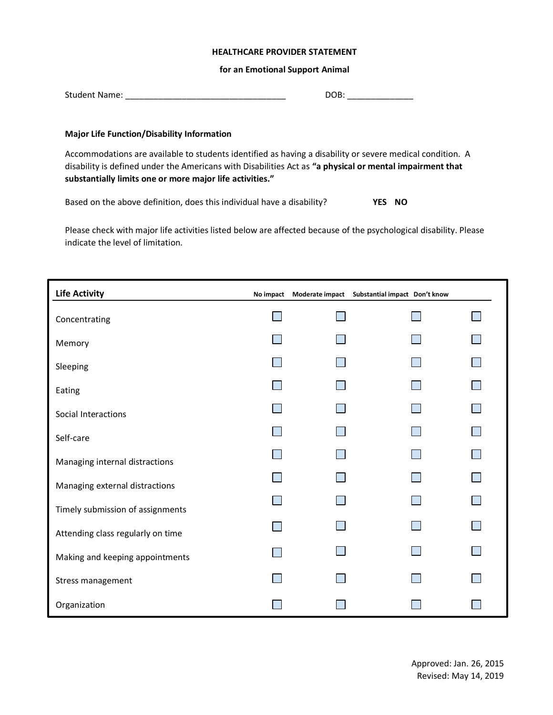## **HEALTHCARE PROVIDER STATEMENT**

### **for an Emotional Support Animal**

| <b>Student Name:</b> |  |
|----------------------|--|
|----------------------|--|

## **Major Life Function/Disability Information**

Accommodations are available to students identified as having a disability or severe medical condition. A disability is defined under the Americans with Disabilities Act as **"a physical or mental impairment that substantially limits one or more major life activities."**

Based on the above definition, does this individual have a disability? **YES NO**

Please check with major life activities listed below are affected because of the psychological disability. Please indicate the level of limitation.

| <b>Life Activity</b>              | No impact | Moderate impact | Substantial impact Don't know |  |
|-----------------------------------|-----------|-----------------|-------------------------------|--|
| Concentrating                     |           |                 |                               |  |
| Memory                            |           |                 |                               |  |
| Sleeping                          |           |                 |                               |  |
| Eating                            |           |                 |                               |  |
| Social Interactions               |           |                 |                               |  |
| Self-care                         |           |                 |                               |  |
| Managing internal distractions    |           |                 |                               |  |
| Managing external distractions    |           |                 |                               |  |
| Timely submission of assignments  |           |                 |                               |  |
| Attending class regularly on time |           |                 |                               |  |
| Making and keeping appointments   |           |                 |                               |  |
|                                   |           |                 |                               |  |
| Stress management                 |           |                 |                               |  |
| Organization                      |           |                 |                               |  |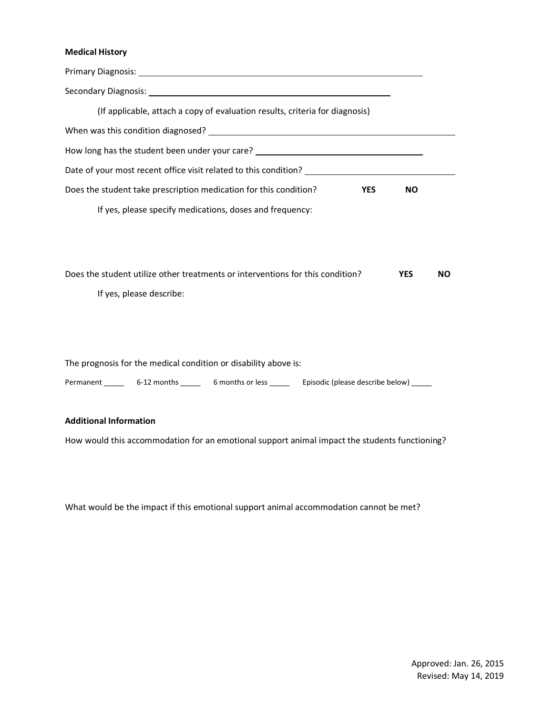# **Medical History**

| (If applicable, attach a copy of evaluation results, criteria for diagnosis)                         |            |           |
|------------------------------------------------------------------------------------------------------|------------|-----------|
|                                                                                                      |            |           |
|                                                                                                      |            |           |
| Date of your most recent office visit related to this condition? ___________________________________ |            |           |
| Does the student take prescription medication for this condition?<br><b>YES</b>                      | <b>NO</b>  |           |
| If yes, please specify medications, doses and frequency:                                             |            |           |
|                                                                                                      |            |           |
|                                                                                                      |            |           |
| Does the student utilize other treatments or interventions for this condition?                       | <b>YES</b> | <b>NO</b> |
| If yes, please describe:                                                                             |            |           |
|                                                                                                      |            |           |
|                                                                                                      |            |           |
| The prognosis for the medical condition or disability above is:                                      |            |           |
| 6 months or less<br>6-12 months<br>Episodic (please describe below)<br>Permanent                     |            |           |

# **Additional Information**

How would this accommodation for an emotional support animal impact the students functioning?

What would be the impact if this emotional support animal accommodation cannot be met?